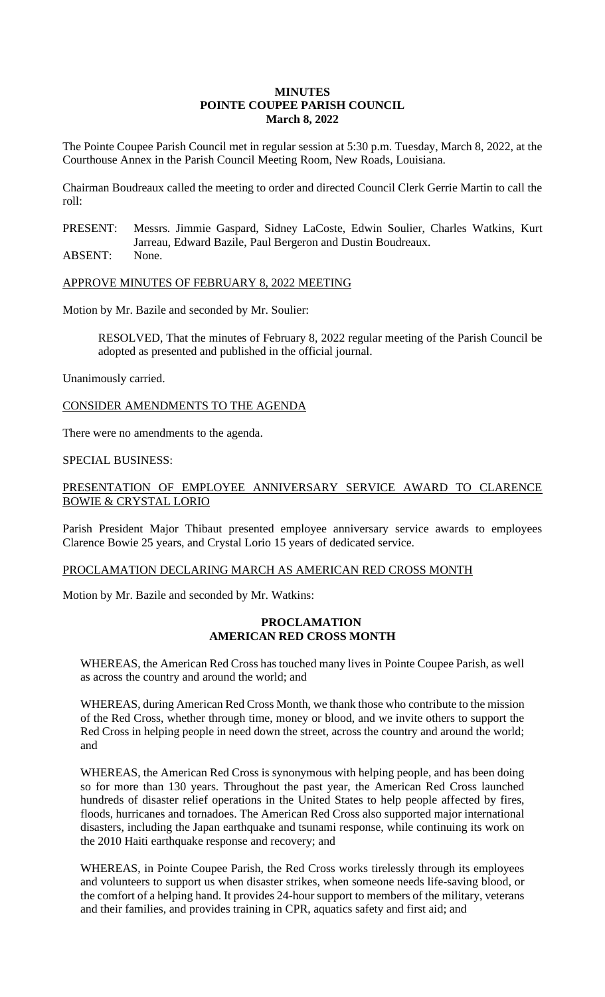## **MINUTES POINTE COUPEE PARISH COUNCIL March 8, 2022**

The Pointe Coupee Parish Council met in regular session at 5:30 p.m. Tuesday, March 8, 2022, at the Courthouse Annex in the Parish Council Meeting Room, New Roads, Louisiana.

Chairman Boudreaux called the meeting to order and directed Council Clerk Gerrie Martin to call the roll:

PRESENT: Messrs. Jimmie Gaspard, Sidney LaCoste, Edwin Soulier, Charles Watkins, Kurt Jarreau, Edward Bazile, Paul Bergeron and Dustin Boudreaux.

ABSENT: None.

## APPROVE MINUTES OF FEBRUARY 8, 2022 MEETING

Motion by Mr. Bazile and seconded by Mr. Soulier:

RESOLVED, That the minutes of February 8, 2022 regular meeting of the Parish Council be adopted as presented and published in the official journal.

Unanimously carried.

CONSIDER AMENDMENTS TO THE AGENDA

There were no amendments to the agenda.

# SPECIAL BUSINESS:

# PRESENTATION OF EMPLOYEE ANNIVERSARY SERVICE AWARD TO CLARENCE BOWIE & CRYSTAL LORIO

Parish President Major Thibaut presented employee anniversary service awards to employees Clarence Bowie 25 years, and Crystal Lorio 15 years of dedicated service.

## PROCLAMATION DECLARING MARCH AS AMERICAN RED CROSS MONTH

Motion by Mr. Bazile and seconded by Mr. Watkins:

### **PROCLAMATION AMERICAN RED CROSS MONTH**

WHEREAS, the American Red Cross has touched many lives in Pointe Coupee Parish, as well as across the country and around the world; and

WHEREAS, during American Red Cross Month, we thank those who contribute to the mission of the Red Cross, whether through time, money or blood, and we invite others to support the Red Cross in helping people in need down the street, across the country and around the world; and

WHEREAS, the American Red Cross is synonymous with helping people, and has been doing so for more than 130 years. Throughout the past year, the American Red Cross launched hundreds of disaster relief operations in the United States to help people affected by fires, floods, hurricanes and tornadoes. The American Red Cross also supported major international disasters, including the Japan earthquake and tsunami response, while continuing its work on the 2010 Haiti earthquake response and recovery; and

WHEREAS, in Pointe Coupee Parish, the Red Cross works tirelessly through its employees and volunteers to support us when disaster strikes, when someone needs life-saving blood, or the comfort of a helping hand. It provides 24-hour support to members of the military, veterans and their families, and provides training in CPR, aquatics safety and first aid; and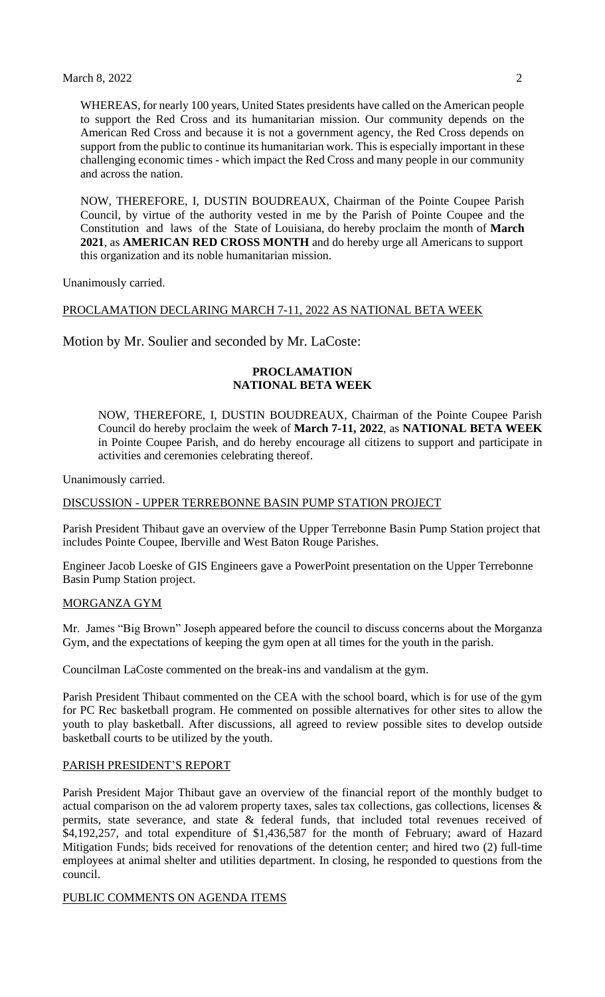WHEREAS, for nearly 100 years, United States presidents have called on the American people to support the Red Cross and its humanitarian mission. Our community depends on the American Red Cross and because it is not a government agency, the Red Cross depends on support from the public to continue its humanitarian work. This is especially important in these challenging economic times - which impact the Red Cross and many people in our community and across the nation.

NOW, THEREFORE, I, DUSTIN BOUDREAUX, Chairman of the Pointe Coupee Parish Council, by virtue of the authority vested in me by the Parish of Pointe Coupee and the Constitution and laws of the State of Louisiana, do hereby proclaim the month of **March 2021**, as **AMERICAN RED CROSS MONTH** and do hereby urge all Americans to support this organization and its noble humanitarian mission.

Unanimously carried.

### PROCLAMATION DECLARING MARCH 7-11, 2022 AS NATIONAL BETA WEEK

Motion by Mr. Soulier and seconded by Mr. LaCoste:

## **PROCLAMATION NATIONAL BETA WEEK**

NOW, THEREFORE, I, DUSTIN BOUDREAUX, Chairman of the Pointe Coupee Parish Council do hereby proclaim the week of **March 7-11, 2022**, as **NATIONAL BETA WEEK**  in Pointe Coupee Parish, and do hereby encourage all citizens to support and participate in activities and ceremonies celebrating thereof.

Unanimously carried.

#### DISCUSSION - UPPER TERREBONNE BASIN PUMP STATION PROJECT

Parish President Thibaut gave an overview of the Upper Terrebonne Basin Pump Station project that includes Pointe Coupee, Iberville and West Baton Rouge Parishes.

Engineer Jacob Loeske of GIS Engineers gave a PowerPoint presentation on the Upper Terrebonne Basin Pump Station project.

#### MORGANZA GYM

Mr. James "Big Brown" Joseph appeared before the council to discuss concerns about the Morganza Gym, and the expectations of keeping the gym open at all times for the youth in the parish.

Councilman LaCoste commented on the break-ins and vandalism at the gym.

Parish President Thibaut commented on the CEA with the school board, which is for use of the gym for PC Rec basketball program. He commented on possible alternatives for other sites to allow the youth to play basketball. After discussions, all agreed to review possible sites to develop outside basketball courts to be utilized by the youth.

#### PARISH PRESIDENT'S REPORT

Parish President Major Thibaut gave an overview of the financial report of the monthly budget to actual comparison on the ad valorem property taxes, sales tax collections, gas collections, licenses & permits, state severance, and state & federal funds, that included total revenues received of \$4,192,257, and total expenditure of \$1,436,587 for the month of February; award of Hazard Mitigation Funds; bids received for renovations of the detention center; and hired two (2) full-time employees at animal shelter and utilities department. In closing, he responded to questions from the council.

#### PUBLIC COMMENTS ON AGENDA ITEMS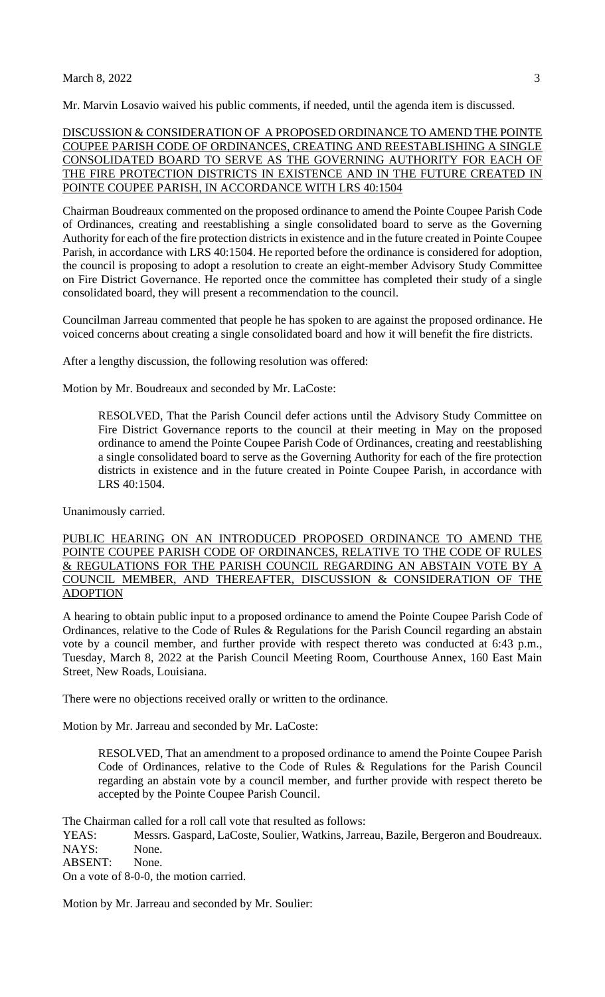#### March 8, 2022 3

Mr. Marvin Losavio waived his public comments, if needed, until the agenda item is discussed.

DISCUSSION & CONSIDERATION OF A PROPOSED ORDINANCE TO AMEND THE POINTE COUPEE PARISH CODE OF ORDINANCES, CREATING AND REESTABLISHING A SINGLE CONSOLIDATED BOARD TO SERVE AS THE GOVERNING AUTHORITY FOR EACH OF THE FIRE PROTECTION DISTRICTS IN EXISTENCE AND IN THE FUTURE CREATED IN POINTE COUPEE PARISH, IN ACCORDANCE WITH LRS 40:1504

Chairman Boudreaux commented on the proposed ordinance to amend the Pointe Coupee Parish Code of Ordinances, creating and reestablishing a single consolidated board to serve as the Governing Authority for each of the fire protection districts in existence and in the future created in Pointe Coupee Parish, in accordance with LRS 40:1504. He reported before the ordinance is considered for adoption, the council is proposing to adopt a resolution to create an eight-member Advisory Study Committee on Fire District Governance. He reported once the committee has completed their study of a single consolidated board, they will present a recommendation to the council.

Councilman Jarreau commented that people he has spoken to are against the proposed ordinance. He voiced concerns about creating a single consolidated board and how it will benefit the fire districts.

After a lengthy discussion, the following resolution was offered:

Motion by Mr. Boudreaux and seconded by Mr. LaCoste:

RESOLVED, That the Parish Council defer actions until the Advisory Study Committee on Fire District Governance reports to the council at their meeting in May on the proposed ordinance to amend the Pointe Coupee Parish Code of Ordinances, creating and reestablishing a single consolidated board to serve as the Governing Authority for each of the fire protection districts in existence and in the future created in Pointe Coupee Parish, in accordance with LRS 40:1504.

Unanimously carried.

## PUBLIC HEARING ON AN INTRODUCED PROPOSED ORDINANCE TO AMEND THE POINTE COUPEE PARISH CODE OF ORDINANCES, RELATIVE TO THE CODE OF RULES & REGULATIONS FOR THE PARISH COUNCIL REGARDING AN ABSTAIN VOTE BY A COUNCIL MEMBER, AND THEREAFTER, DISCUSSION & CONSIDERATION OF THE ADOPTION

A hearing to obtain public input to a proposed ordinance to amend the Pointe Coupee Parish Code of Ordinances, relative to the Code of Rules & Regulations for the Parish Council regarding an abstain vote by a council member, and further provide with respect thereto was conducted at 6:43 p.m., Tuesday, March 8, 2022 at the Parish Council Meeting Room, Courthouse Annex, 160 East Main Street, New Roads, Louisiana.

There were no objections received orally or written to the ordinance.

Motion by Mr. Jarreau and seconded by Mr. LaCoste:

RESOLVED, That an amendment to a proposed ordinance to amend the Pointe Coupee Parish Code of Ordinances, relative to the Code of Rules & Regulations for the Parish Council regarding an abstain vote by a council member, and further provide with respect thereto be accepted by the Pointe Coupee Parish Council.

The Chairman called for a roll call vote that resulted as follows:

YEAS: Messrs. Gaspard, LaCoste, Soulier, Watkins, Jarreau, Bazile, Bergeron and Boudreaux. NAYS: None.

ABSENT: None.

On a vote of 8-0-0, the motion carried.

Motion by Mr. Jarreau and seconded by Mr. Soulier: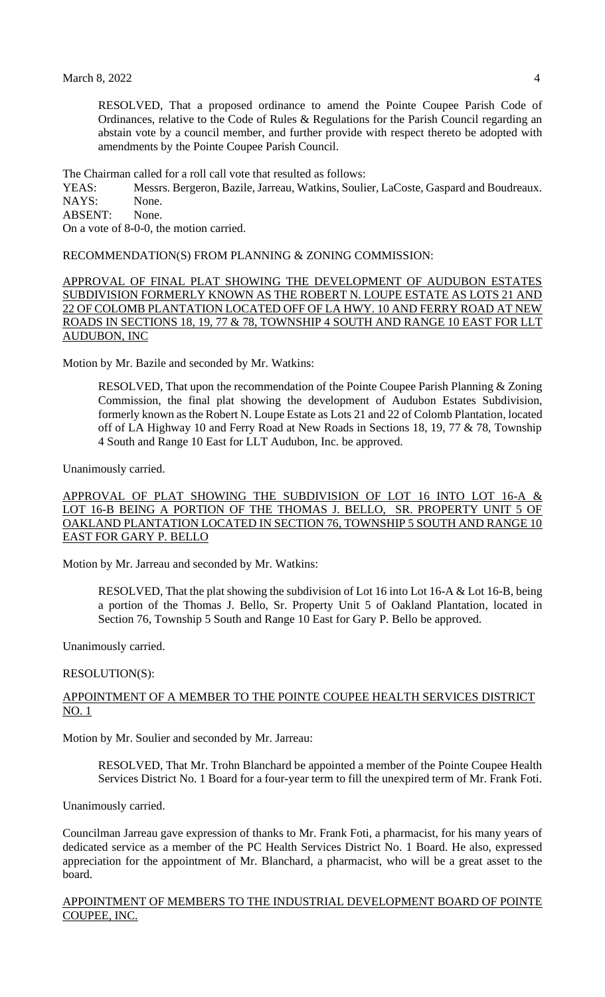RESOLVED, That a proposed ordinance to amend the Pointe Coupee Parish Code of Ordinances, relative to the Code of Rules & Regulations for the Parish Council regarding an abstain vote by a council member, and further provide with respect thereto be adopted with amendments by the Pointe Coupee Parish Council.

The Chairman called for a roll call vote that resulted as follows:

YEAS: Messrs. Bergeron, Bazile, Jarreau, Watkins, Soulier, LaCoste, Gaspard and Boudreaux. NAYS: None.

ABSENT: None.

On a vote of 8-0-0, the motion carried.

RECOMMENDATION(S) FROM PLANNING & ZONING COMMISSION:

APPROVAL OF FINAL PLAT SHOWING THE DEVELOPMENT OF AUDUBON ESTATES SUBDIVISION FORMERLY KNOWN AS THE ROBERT N. LOUPE ESTATE AS LOTS 21 AND 22 OF COLOMB PLANTATION LOCATED OFF OF LA HWY. 10 AND FERRY ROAD AT NEW ROADS IN SECTIONS 18, 19, 77 & 78, TOWNSHIP 4 SOUTH AND RANGE 10 EAST FOR LLT AUDUBON, INC

Motion by Mr. Bazile and seconded by Mr. Watkins:

RESOLVED, That upon the recommendation of the Pointe Coupee Parish Planning & Zoning Commission, the final plat showing the development of Audubon Estates Subdivision, formerly known as the Robert N. Loupe Estate as Lots 21 and 22 of Colomb Plantation, located off of LA Highway 10 and Ferry Road at New Roads in Sections 18, 19, 77 & 78, Township 4 South and Range 10 East for LLT Audubon, Inc. be approved.

Unanimously carried.

APPROVAL OF PLAT SHOWING THE SUBDIVISION OF LOT 16 INTO LOT 16-A & LOT 16-B BEING A PORTION OF THE THOMAS J. BELLO, SR. PROPERTY UNIT 5 OF OAKLAND PLANTATION LOCATED IN SECTION 76, TOWNSHIP 5 SOUTH AND RANGE 10 EAST FOR GARY P. BELLO

Motion by Mr. Jarreau and seconded by Mr. Watkins:

RESOLVED, That the plat showing the subdivision of Lot 16 into Lot 16-A & Lot 16-B, being a portion of the Thomas J. Bello, Sr. Property Unit 5 of Oakland Plantation, located in Section 76, Township 5 South and Range 10 East for Gary P. Bello be approved.

Unanimously carried.

#### RESOLUTION(S):

#### APPOINTMENT OF A MEMBER TO THE POINTE COUPEE HEALTH SERVICES DISTRICT NO. 1

Motion by Mr. Soulier and seconded by Mr. Jarreau:

RESOLVED, That Mr. Trohn Blanchard be appointed a member of the Pointe Coupee Health Services District No. 1 Board for a four-year term to fill the unexpired term of Mr. Frank Foti.

Unanimously carried.

Councilman Jarreau gave expression of thanks to Mr. Frank Foti, a pharmacist, for his many years of dedicated service as a member of the PC Health Services District No. 1 Board. He also, expressed appreciation for the appointment of Mr. Blanchard, a pharmacist, who will be a great asset to the board.

### APPOINTMENT OF MEMBERS TO THE INDUSTRIAL DEVELOPMENT BOARD OF POINTE COUPEE, INC.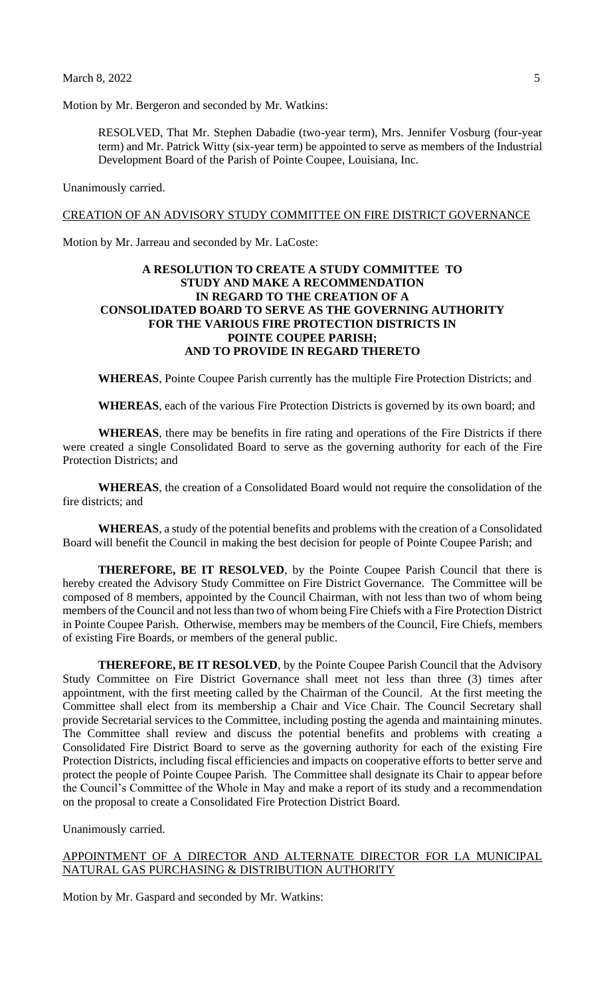Motion by Mr. Bergeron and seconded by Mr. Watkins:

RESOLVED, That Mr. Stephen Dabadie (two-year term), Mrs. Jennifer Vosburg (four-year term) and Mr. Patrick Witty (six-year term) be appointed to serve as members of the Industrial Development Board of the Parish of Pointe Coupee, Louisiana, Inc.

Unanimously carried.

#### CREATION OF AN ADVISORY STUDY COMMITTEE ON FIRE DISTRICT GOVERNANCE

Motion by Mr. Jarreau and seconded by Mr. LaCoste:

## **A RESOLUTION TO CREATE A STUDY COMMITTEE TO STUDY AND MAKE A RECOMMENDATION IN REGARD TO THE CREATION OF A CONSOLIDATED BOARD TO SERVE AS THE GOVERNING AUTHORITY FOR THE VARIOUS FIRE PROTECTION DISTRICTS IN POINTE COUPEE PARISH; AND TO PROVIDE IN REGARD THERETO**

**WHEREAS**, Pointe Coupee Parish currently has the multiple Fire Protection Districts; and

**WHEREAS**, each of the various Fire Protection Districts is governed by its own board; and

**WHEREAS**, there may be benefits in fire rating and operations of the Fire Districts if there were created a single Consolidated Board to serve as the governing authority for each of the Fire Protection Districts; and

**WHEREAS**, the creation of a Consolidated Board would not require the consolidation of the fire districts; and

**WHEREAS**, a study of the potential benefits and problems with the creation of a Consolidated Board will benefit the Council in making the best decision for people of Pointe Coupee Parish; and

**THEREFORE, BE IT RESOLVED**, by the Pointe Coupee Parish Council that there is hereby created the Advisory Study Committee on Fire District Governance. The Committee will be composed of 8 members, appointed by the Council Chairman, with not less than two of whom being members of the Council and not less than two of whom being Fire Chiefs with a Fire Protection District in Pointe Coupee Parish. Otherwise, members may be members of the Council, Fire Chiefs, members of existing Fire Boards, or members of the general public.

**THEREFORE, BE IT RESOLVED**, by the Pointe Coupee Parish Council that the Advisory Study Committee on Fire District Governance shall meet not less than three (3) times after appointment, with the first meeting called by the Chairman of the Council. At the first meeting the Committee shall elect from its membership a Chair and Vice Chair. The Council Secretary shall provide Secretarial services to the Committee, including posting the agenda and maintaining minutes. The Committee shall review and discuss the potential benefits and problems with creating a Consolidated Fire District Board to serve as the governing authority for each of the existing Fire Protection Districts, including fiscal efficiencies and impacts on cooperative efforts to better serve and protect the people of Pointe Coupee Parish. The Committee shall designate its Chair to appear before the Council's Committee of the Whole in May and make a report of its study and a recommendation on the proposal to create a Consolidated Fire Protection District Board.

Unanimously carried.

APPOINTMENT OF A DIRECTOR AND ALTERNATE DIRECTOR FOR LA MUNICIPAL NATURAL GAS PURCHASING & DISTRIBUTION AUTHORITY

Motion by Mr. Gaspard and seconded by Mr. Watkins: